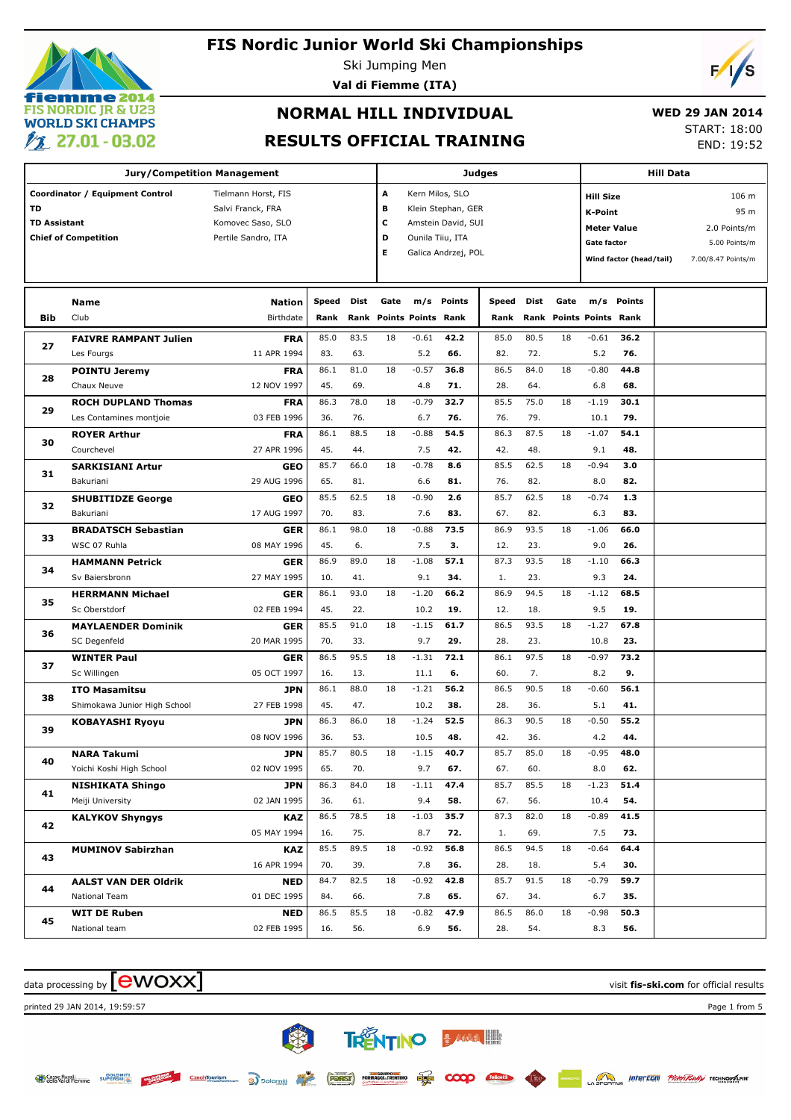# **emme 2014 FIS NORDIC JR & U23 WORLD SKI CHAMPS**  $\mathscr{V}$  27.01 - 03.02

#### **FIS Nordic Junior World Ski Championships**

Ski Jumping Men

**Val di Fiemme (ITA)**

# **NORMAL HILL INDIVIDUAL**

#### **WED 29 JAN 2014**

#### **RESULTS OFFICIAL TRAINING**

START: 18:00 END: 19:52

**Jury/Competition Management Coordinator / Equipment Control Tielmann Horst, FIS TD** Salvi Franck, FRA **TD Assistant** Komovec Saso, SLO **Chief of Competition Pertile Sandro, ITA Judges A** Kern Milos, SLO **B** Klein Stephan, GER **C** Amstein David, SUI **D** Ounila Tiiu, ITA **E** Galica Andrzej, POL **Hill Data K-Point** 95 m **Hill Size** 106 m **Meter Value** 2.0 Points/m **Gate factor** 5.00 Points/m **Wind factor (head/tail)** 7.00/8.47 Points/m **Bib Name** Club Birthdate **Nation Speed Dist Rank Rank Gate Points Points Rank m/s Points Speed Rank Points m/s Points Points Gate Rank Dist Rank FAIVRE RAMPANT Julien** Les Fourgs **FRA** 11 APR 1994 **27** 85.0 83.5 18 -0.61 **42.2** | 85.0 80.5 18 83. 63. 5.2 **66.** 82. 72. **42.2 66. 36.2** 5.2 **76.**  $-0.61$  42.2 | 85.0 80.5 18  $-0.61$ **POINTU Jeremy** Chaux Neuve **FRA** 12 NOV 1997 **28** 86.1 81.0 18 -0.57 **36.8** | 86.5 84.0 18 45. 69. 4.8 **71.** 28. 64. **36.8 71. 44.8** 6.8 **68.**  $-0.57$  36.8 86.5 84.0 18  $-0.80$ **ROCH DUPLAND Thomas** Les Contamines montjoie **FRA** 03 FEB 1996 **29** 86.3 78.0 18 -0.79 **32.7** | 85.5 75.0 18 36. 76. 6.7 76. 79. **32.7 76. 30.1** 10.1 **79.**  $-0.79$  32.7 | 85.5 75.0 18  $-1.19$ **ROYER Arthur** Courchevel **FRA** 27 APR 1996 **30** 86.1 88.5 18 -0.88 **54.5** | 86.3 87.5 18 45. 44. 7.5 **42.** 42. 48. **54.5 42. 54.1** 9.1 **48.**  $-0.88$  54.5 86.3 87.5 18  $-1.07$ **SARKISIANI Artur** Bakuriani **GEO** 29 AUG 1996 **31** 85.7 66.0 18 -0.78 **8.6** | 85.5 62.5 18 65. 81. 6.6 **81.** 76. 82. **8.6 81. 3.0** 8.0 **82.**  $-0.78$  8.6 | 85.5 62.5 18  $-0.94$ **SHUBITIDZE George** Bakuriani **GEO** 17 AUG 1997 **32** 85.5 62.5 18 -0.90 **2.6** | 85.7 62.5 18 70. 83. 7.6 67. 82. **2.6 83. 1.3** 6.3 **83.**  $-0.90$  2.6 | 85.7 62.5 18  $-0.74$ **BRADATSCH Sebastian** WSC 07 Ruhla **GER** 08 MAY 1996 **33** 86.1 98.0 18 -0.88 **73.5** | 86.9 93.5 18 45. 6. 7.5 **3.** 12. 23. **73.5 3. 66.0** 9.0 **26.**  $-0.88$  73.5 86.9 93.5 18  $-1.06$ **HAMMANN Petrick** Sv Baiersbronn **GER** 27 MAY 1995 **34** 86.9 89.0 18 -1.08 **57.1** | 87.3 93.5 18 10. 41. 9.1 **34.** 1. 23. **57.1 34. 66.3** 9.3 **24.**  $-1.08$  57.1 | 87.3 93.5 18  $-1.10$ **HERRMANN Michael** Sc Oberstdorf **GER** 02 FEB 1994 **35** 86.1 93.0 18 -1.20 **66.2** | 86.9 94.5 18 45. 22. 10.2 12. 18. **66.2 19. 68.5** 9.5 **19.**  $-1.20$  66.2 86.9 94.5 18  $-1.12$ **MAYLAENDER Dominik** SC Degenfeld **GER** 20 MAR 1995 **36** 85.5 91.0 18 -1.15 **61.7** | 86.5 93.5 18 70. 33. 9.7 28. 23. **61.7 29. 67.8** 10.8 **23.**  $-1.15$  61.7 | 86.5 93.5 18  $-1.27$ **WINTER Paul** Sc Willingen **GER** 05 OCT 1997 **37** 86.5 95.5 18 -1.31 **72.1** | 86.1 97.5 18 16. 13. 11.1 **6.** 60. 7. **72.1 6. 73.2** 8.2 **9.**  $-1.31$  72.1 | 86.1 97.5 18  $-0.97$ **ITO Masamitsu** Shimokawa Junior High School **JPN** 27 FEB 1998 **38** 86.1 88.0 18 -1.21 **56.2** | 86.5 90.5 18 45. 47. 10.2 **38.** 28. 36. **56.2 38. 56.1** 5.1 **41.**  $-1.21$  56.2 | 86.5 90.5 18  $-0.60$ **KOBAYASHI Ryoyu JPN** 08 NOV 1996 **39** 86.3 86.0 18 -1.24 **52.5** | 86.3 90.5 18 36. 53. 10.5 **48.** 42. 36. **52.5 48. 55.2** 4.2 **44.**  $-1.24$  52.5 86.3 90.5 18  $-0.50$ **NARA Takumi** Yoichi Koshi High School **JPN** 02 NOV 1995 **40** 85.7 80.5 18 -1.15 **40.7** | 85.7 85.0 18 65. 70. 9.7 67. 60. **40.7 67. 48.0** 8.0 **62.**  $-1.15$  40.7 | 85.7 85.0 18  $-0.95$ **NISHIKATA Shingo** Meiji University **JPN** 02 JAN 1995 **41** 86.3 84.0 18 -1.11 **47.4** | 85.7 85.5 18 36. 61. 9.4 **58.** | 67. 56. **47.4 58. 51.4** 10.4 **54.**  $-1.11$  47.4 | 85.7 85.5 18  $-1.23$ **KALYKOV Shyngys KAZ** 05 MAY 1994 **42** 86.5 78.5 18 -1.03 **35.7** | 87.3 82.0 18 16. 75. 8.7 **72.** 1. 69. **35.7 72. 41.5** 7.5 **73.**  $-1.03$  35.7 87.3 82.0 18  $-0.89$ **MUMINOV Sabirzhan KAZ** 16 APR 1994 **43** 85.5 89.5 18 -0.92 **56.8** | 86.5 94.5 18 70. 39. 7.8 28. 18. **56.8 36. 64.4** 5.4 **30.**  $-0.92$  56.8 | 86.5 94.5 18  $-0.64$ **AALST VAN DER Oldrik** National Team **NED** 01 DEC 1995 **44** 84.7 82.5 18 -0.92 **42.8** | 85.7 91.5 18 84. 66. 7.8 67. 34. **42.8 65. 59.7** 6.7 **35.**  $-0.92$  42.8 85.7 91.5 18  $-0.79$ **WIT DE Ruben** National team **NED** 02 FEB 1995 **45** 86.5 85.5 18 -0.82 **47.9** | 86.5 86.0 18 16. 56. 6.9 **56.** 28. 54. **47.9 56. 50.3** 8.3 **56.**  $-0.82$  47.9 | 86.5 86.0 18  $-0.98$ 

**TRENTINO BALGERIES** 

FORST FORMAGEL TRENTINO

**e**) polomit

CzechTourism

 $\alpha$  data processing by  $\boxed{\text{ewOX}}$ 

printed 29 JAN 2014, 19:59:57 Page 1 from 5

**Casse Rural DOLOMITI**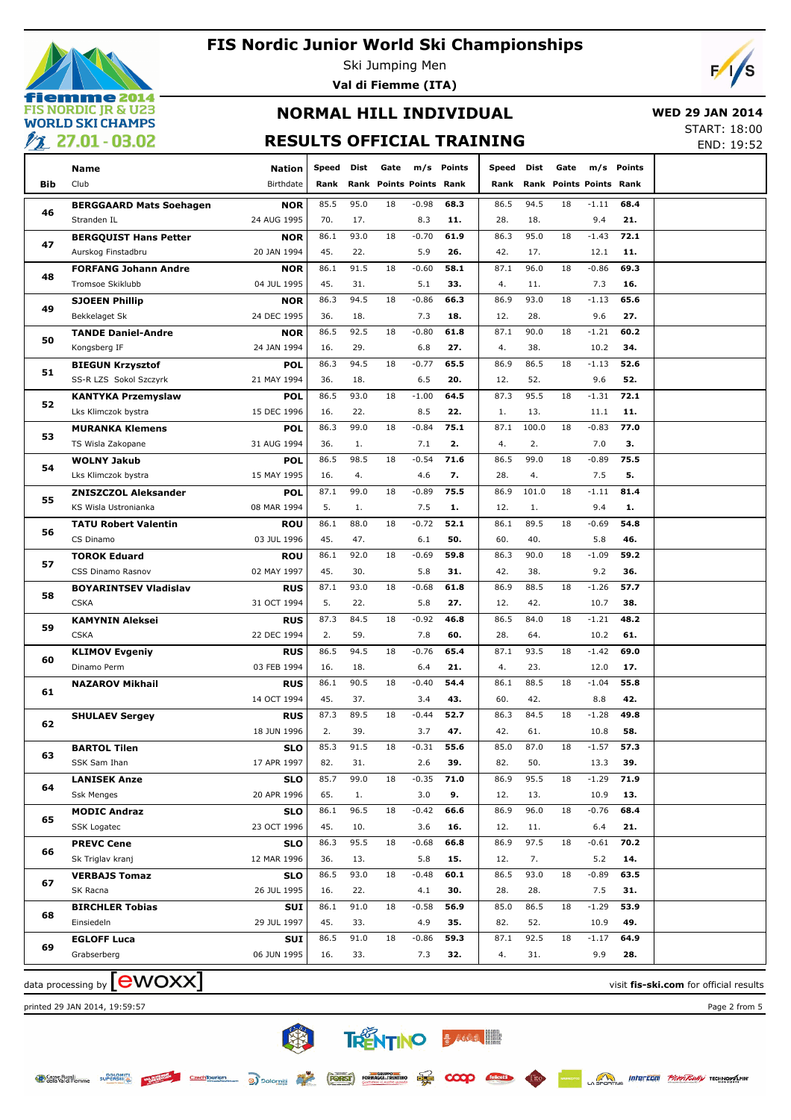

Ski Jumping Men

**Val di Fiemme (ITA)**

# $\overline{\phantom{a}}$

### **NORMAL HILL INDIVIDUAL RESULTS OFFICIAL TRAINING**

 **WED 29 JAN 2014** START: 18:00

 $FND: 10.52$ 

| <u>—</u> |                                               |                           |              |             |                                |                |               |             |             |      |                           |             | LIVD. IJ.JZ |
|----------|-----------------------------------------------|---------------------------|--------------|-------------|--------------------------------|----------------|---------------|-------------|-------------|------|---------------------------|-------------|-------------|
|          | Name                                          | <b>Nation</b>             | <b>Speed</b> | Dist        | Gate                           | m/s            | <b>Points</b> | Speed       | Dist        | Gate |                           | m/s Points  |             |
| Bib      | Club                                          | Birthdate                 | Rank         |             | <b>Rank Points Points Rank</b> |                |               | Rank        | Rank        |      | <b>Points Points Rank</b> |             |             |
|          |                                               |                           | 85.5         | 95.0        | 18                             | $-0.98$        | 68.3          | 86.5        | 94.5        | 18   | $-1.11$                   | 68.4        |             |
| 46       | <b>BERGGAARD Mats Soehagen</b><br>Stranden IL | <b>NOR</b><br>24 AUG 1995 | 70.          | 17.         |                                | 8.3            | 11.           | 28.         | 18.         |      | 9.4                       | 21.         |             |
|          | <b>BERGQUIST Hans Petter</b>                  | <b>NOR</b>                | 86.1         | 93.0        | 18                             | $-0.70$        | 61.9          | 86.3        | 95.0        | 18   | $-1.43$                   | 72.1        |             |
| 47       | Aurskog Finstadbru                            | 20 JAN 1994               | 45.          | 22.         |                                | 5.9            | 26.           | 42.         | 17.         |      | 12.1                      | 11.         |             |
|          | <b>FORFANG Johann Andre</b>                   | <b>NOR</b>                | 86.1         | 91.5        | 18                             | $-0.60$        | 58.1          | 87.1        | 96.0        | 18   | $-0.86$                   | 69.3        |             |
| 48       | Tromsoe Skiklubb                              | 04 JUL 1995               | 45.          | 31.         |                                | 5.1            | 33.           | 4.          | 11.         |      | 7.3                       | 16.         |             |
|          | <b>SJOEEN Phillip</b>                         | <b>NOR</b>                | 86.3         | 94.5        | 18                             | $-0.86$        | 66.3          | 86.9        | 93.0        | 18   | $-1.13$                   | 65.6        |             |
| 49       | Bekkelaget Sk                                 | 24 DEC 1995               | 36.          | 18.         |                                | 7.3            | 18.           | 12.         | 28.         |      | 9.6                       | 27.         |             |
|          | <b>TANDE Daniel-Andre</b>                     | <b>NOR</b>                | 86.5         | 92.5        | 18                             | $-0.80$        | 61.8          | 87.1        | 90.0        | 18   | $-1.21$                   | 60.2        |             |
| 50       | Kongsberg IF                                  | 24 JAN 1994               | 16.          | 29.         |                                | 6.8            | 27.           | 4.          | 38.         |      | 10.2                      | 34.         |             |
|          | <b>BIEGUN Krzysztof</b>                       | <b>POL</b>                | 86.3         | 94.5        | 18                             | $-0.77$        | 65.5          | 86.9        | 86.5        | 18   | $-1.13$                   | 52.6        |             |
| 51       | SS-R LZS Sokol Szczyrk                        | 21 MAY 1994               | 36.          | 18.         |                                | 6.5            | 20.           | 12.         | 52.         |      | 9.6                       | 52.         |             |
|          | <b>KANTYKA Przemyslaw</b>                     | <b>POL</b>                | 86.5         | 93.0        | 18                             | $-1.00$        | 64.5          | 87.3        | 95.5        | 18   | $-1.31$                   | 72.1        |             |
| 52       | Lks Klimczok bystra                           | 15 DEC 1996               | 16.          | 22.         |                                | 8.5            | 22.           | 1.          | 13.         |      | 11.1                      | 11.         |             |
|          | <b>MURANKA Klemens</b>                        | <b>POL</b>                | 86.3         | 99.0        | 18                             | $-0.84$        | 75.1          | 87.1        | 100.0       | 18   | $-0.83$                   | 77.0        |             |
| 53       | TS Wisla Zakopane                             | 31 AUG 1994               | 36.          | 1.          |                                | 7.1            | 2.            | 4.          | 2.          |      | 7.0                       | З.          |             |
|          | <b>WOLNY Jakub</b>                            | <b>POL</b>                | 86.5         | 98.5        | 18                             | $-0.54$        | 71.6          | 86.5        | 99.0        | 18   | $-0.89$                   | 75.5        |             |
| 54       | Lks Klimczok bystra                           | 15 MAY 1995               | 16.          | 4.          |                                | 4.6            | 7.            | 28.         | 4.          |      | 7.5                       | 5.          |             |
|          | <b>ZNISZCZOL Aleksander</b>                   | <b>POL</b>                | 87.1         | 99.0        | 18                             | $-0.89$        | 75.5          | 86.9        | 101.0       | 18   | $-1.11$                   | 81.4        |             |
| 55       | <b>KS Wisla Ustronianka</b>                   | 08 MAR 1994               | 5.           | 1.          |                                | 7.5            | 1.            | 12.         | 1.          |      | 9.4                       | 1.          |             |
| 56<br>57 | <b>TATU Robert Valentin</b>                   | <b>ROU</b>                | 86.1         | 88.0        | 18                             | $-0.72$        | 52.1          | 86.1        | 89.5        | 18   | $-0.69$                   | 54.8        |             |
|          | CS Dinamo                                     | 03 JUL 1996               | 45.          | 47.         |                                | 6.1            | 50.           | 60.         | 40.         |      | 5.8                       | 46.         |             |
|          | <b>TOROK Eduard</b>                           | <b>ROU</b>                | 86.1         | 92.0        | 18                             | $-0.69$        | 59.8          | 86.3        | 90.0        | 18   | $-1.09$                   | 59.2        |             |
|          | CSS Dinamo Rasnov                             | 02 MAY 1997               | 45.          | 30.         |                                | 5.8            | 31.           | 42.         | 38.         |      | 9.2                       | 36.         |             |
| 58       | <b>BOYARINTSEV Vladislav</b>                  | <b>RUS</b>                | 87.1         | 93.0        | 18                             | $-0.68$        | 61.8          | 86.9        | 88.5        | 18   | $-1.26$                   | 57.7        |             |
|          | <b>CSKA</b>                                   | 31 OCT 1994               | 5.           | 22.         |                                | 5.8            | 27.           | 12.         | 42.         |      | 10.7                      | 38.         |             |
| 59       | <b>KAMYNIN Aleksei</b>                        | <b>RUS</b>                | 87.3         | 84.5        | 18                             | $-0.92$        | 46.8          | 86.5        | 84.0        | 18   | $-1.21$                   | 48.2        |             |
|          | <b>CSKA</b>                                   | 22 DEC 1994               | 2.           | 59.         |                                | 7.8            | 60.           | 28.         | 64.         |      | 10.2                      | 61.         |             |
| 60       | <b>KLIMOV Evgeniy</b>                         | <b>RUS</b>                | 86.5         | 94.5        | 18                             | $-0.76$        | 65.4          | 87.1        | 93.5        | 18   | $-1.42$                   | 69.0        |             |
|          | Dinamo Perm                                   | 03 FEB 1994               | 16.          | 18.         |                                | 6.4            | 21.           | 4.          | 23.         |      | 12.0                      | 17.         |             |
| 61       | <b>NAZAROV Mikhail</b>                        | <b>RUS</b>                | 86.1         | 90.5        | 18                             | $-0.40$        | 54.4          | 86.1        | 88.5        | 18   | $-1.04$                   | 55.8        |             |
|          |                                               | 14 OCT 1994               | 45.          | 37.         |                                | 3.4            | 43.           | 60.         | 42.         |      | 8.8                       | 42.         |             |
| 62       | <b>SHULAEV Sergey</b>                         | RUS                       | 87.3         | 89.5        | 18                             | $-0.44$        | 52.7          | 86.3        | 84.5        | 18   | $-1.28$                   | 49.8        |             |
|          |                                               | 18 JUN 1996               | 2.           | 39.         |                                | 3.7            | 47.           | 42.         | 61.         |      | 10.8                      | 58.         |             |
| 63       | BARTOL Tilen<br>SSK Sam Ihan                  | SLO<br>17 APR 1997        | 85.3<br>82.  | 91.5<br>31. | 18                             | $-0.31$<br>2.6 | 55.6<br>39.   | 85.0<br>82. | 87.0<br>50. | 18   | $-1.57$                   | 57.3<br>39. |             |
|          | <b>LANISEK Anze</b>                           | <b>SLO</b>                | 85.7         | 99.0        | 18                             | $-0.35$        | 71.0          | 86.9        | 95.5        | 18   | 13.3<br>$-1.29$           | 71.9        |             |
| 64       | <b>Ssk Menges</b>                             | 20 APR 1996               | 65.          | 1.          |                                | 3.0            | 9.            | 12.         | 13.         |      | 10.9                      | 13.         |             |
|          | <b>MODIC Andraz</b>                           | <b>SLO</b>                | 86.1         | 96.5        | 18                             | $-0.42$        | 66.6          | 86.9        | 96.0        | 18   | $-0.76$                   | 68.4        |             |
| 65       | SSK Logatec                                   | 23 OCT 1996               | 45.          | 10.         |                                | 3.6            | 16.           | 12.         | 11.         |      | 6.4                       | 21.         |             |
|          | <b>PREVC Cene</b>                             | <b>SLO</b>                | 86.3         | 95.5        | 18                             | $-0.68$        | 66.8          | 86.9        | 97.5        | 18   | $-0.61$                   | 70.2        |             |
| 66       | Sk Triglav kranj                              | 12 MAR 1996               | 36.          | 13.         |                                | 5.8            | 15.           | 12.         | 7.          |      | 5.2                       | 14.         |             |
|          | <b>VERBAJS Tomaz</b>                          | <b>SLO</b>                | 86.5         | 93.0        | 18                             | $-0.48$        | 60.1          | 86.5        | 93.0        | 18   | $-0.89$                   | 63.5        |             |
| 67       | SK Racna                                      | 26 JUL 1995               | 16.          | 22.         |                                | 4.1            | 30.           | 28.         | 28.         |      | 7.5                       | 31.         |             |
|          | <b>BIRCHLER Tobias</b>                        | <b>SUI</b>                | 86.1         | 91.0        | 18                             | $-0.58$        | 56.9          | 85.0        | 86.5        | 18   | $-1.29$                   | 53.9        |             |
| 68       | Einsiedeln                                    | 29 JUL 1997               | 45.          | 33.         |                                | 4.9            | 35.           | 82.         | 52.         |      | 10.9                      | 49.         |             |
|          | <b>EGLOFF Luca</b>                            | SUI                       | 86.5         | 91.0        | 18                             | $-0.86$        | 59.3          | 87.1        | 92.5        | 18   | $-1.17$                   | 64.9        |             |
| 69       | Grabserberg                                   | 06 JUN 1995               | 16.          | 33.         |                                | 7.3            | 32.           | 4.          | 31.         |      | 9.9                       | 28.         |             |
|          |                                               |                           |              |             |                                |                |               |             |             |      |                           |             |             |

大家

Czech Tourism

**TRENTINO BANK THE** 

COOO felic

data processing by **CWOXX** and  $\overline{C}$  and  $\overline{C}$  and  $\overline{C}$  and  $\overline{C}$  and  $\overline{C}$  and  $\overline{C}$  and  $\overline{C}$  and  $\overline{C}$  and  $\overline{C}$  and  $\overline{C}$  and  $\overline{C}$  and  $\overline{C}$  and  $\overline{C}$  and  $\overline{C}$  and  $\overline{C}$ 

printed 29 JAN 2014, 19:59:57 Page 2 from 5

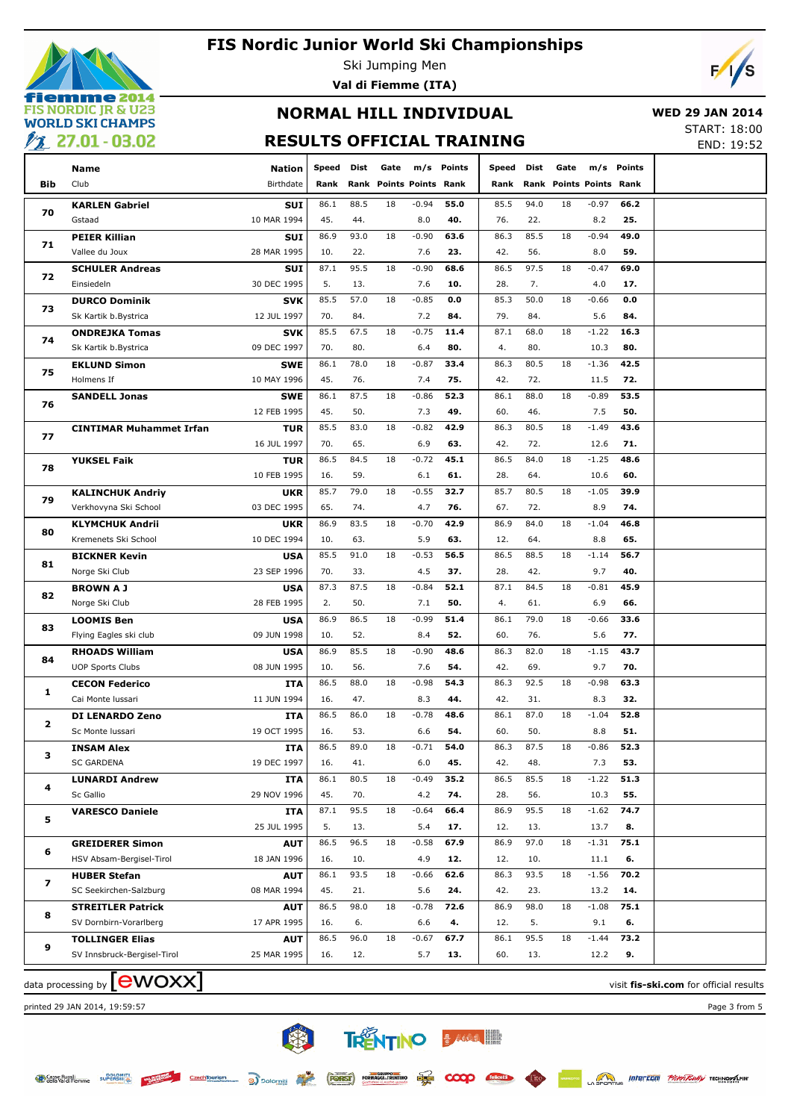

Ski Jumping Men **Val di Fiemme (ITA)**



## **NORMAL HILL INDIVIDUAL RESULTS OFFICIAL TRAINING**

 **WED 29 JAN 2014** START: 18:00

END: 19:52

| _ <del>___</del> |                                |             |       |      |                         |         |        |       |      |                                |         |            |  |
|------------------|--------------------------------|-------------|-------|------|-------------------------|---------|--------|-------|------|--------------------------------|---------|------------|--|
|                  | Name                           | Nation      | Speed | Dist | Gate                    | m/s     | Points | Speed | Dist | Gate                           |         | m/s Points |  |
| Bib              | Club                           | Birthdate   | Rank  |      | Rank Points Points Rank |         |        | Rank  |      | <b>Rank Points Points Rank</b> |         |            |  |
|                  | <b>KARLEN Gabriel</b>          | <b>SUI</b>  | 86.1  | 88.5 | 18                      | $-0.94$ | 55.0   | 85.5  | 94.0 | 18                             | $-0.97$ | 66.2       |  |
| 70               | Gstaad                         | 10 MAR 1994 | 45.   | 44.  |                         | 8.0     | 40.    | 76.   | 22.  |                                | 8.2     | 25.        |  |
|                  | <b>PEIER Killian</b>           | <b>SUI</b>  | 86.9  | 93.0 | 18                      | $-0.90$ | 63.6   | 86.3  | 85.5 | 18                             | $-0.94$ | 49.0       |  |
| 71               | Vallee du Joux                 | 28 MAR 1995 | 10.   | 22.  |                         | 7.6     | 23.    | 42.   | 56.  |                                | 8.0     | 59.        |  |
|                  | <b>SCHULER Andreas</b>         | <b>SUI</b>  | 87.1  | 95.5 | 18                      | $-0.90$ | 68.6   | 86.5  | 97.5 | 18                             | $-0.47$ | 69.0       |  |
| 72               | Einsiedeln                     | 30 DEC 1995 | 5.    | 13.  |                         | 7.6     | 10.    | 28.   | 7.   |                                | 4.0     | 17.        |  |
|                  | <b>DURCO Dominik</b>           | <b>SVK</b>  | 85.5  | 57.0 | 18                      | $-0.85$ | 0.0    | 85.3  | 50.0 | 18                             | $-0.66$ | 0.0        |  |
| 73               | Sk Kartik b.Bystrica           | 12 JUL 1997 | 70.   | 84.  |                         | 7.2     | 84.    | 79.   | 84.  |                                | 5.6     | 84.        |  |
|                  | <b>ONDREJKA Tomas</b>          | <b>SVK</b>  | 85.5  | 67.5 | 18                      | $-0.75$ | 11.4   | 87.1  | 68.0 | 18                             | $-1.22$ | 16.3       |  |
| 74               | Sk Kartik b.Bystrica           | 09 DEC 1997 | 70.   | 80.  |                         | 6.4     | 80.    | 4.    | 80.  |                                | 10.3    | 80.        |  |
|                  | <b>EKLUND Simon</b>            | <b>SWE</b>  | 86.1  | 78.0 | 18                      | $-0.87$ | 33.4   | 86.3  | 80.5 | 18                             | $-1.36$ | 42.5       |  |
| 75               | Holmens If                     | 10 MAY 1996 | 45.   | 76.  |                         | 7.4     | 75.    | 42.   | 72.  |                                | 11.5    | 72.        |  |
|                  | <b>SANDELL Jonas</b>           | <b>SWE</b>  | 86.1  | 87.5 | 18                      | $-0.86$ | 52.3   | 86.1  | 88.0 | 18                             | $-0.89$ | 53.5       |  |
| 76               |                                | 12 FEB 1995 | 45.   | 50.  |                         | 7.3     | 49.    | 60.   | 46.  |                                | 7.5     | 50.        |  |
|                  | <b>CINTIMAR Muhammet Irfan</b> | <b>TUR</b>  | 85.5  | 83.0 | 18                      | $-0.82$ | 42.9   | 86.3  | 80.5 | 18                             | $-1.49$ | 43.6       |  |
| 77               |                                | 16 JUL 1997 | 70.   | 65.  |                         | 6.9     | 63.    | 42.   | 72.  |                                | 12.6    | 71.        |  |
|                  | <b>YUKSEL Faik</b>             | <b>TUR</b>  | 86.5  | 84.5 | 18                      | $-0.72$ | 45.1   | 86.5  | 84.0 | 18                             | $-1.25$ | 48.6       |  |
| 78               |                                | 10 FEB 1995 | 16.   | 59.  |                         | 6.1     | 61.    | 28.   | 64.  |                                | 10.6    | 60.        |  |
|                  | <b>KALINCHUK Andriy</b>        | <b>UKR</b>  | 85.7  | 79.0 | 18                      | $-0.55$ | 32.7   | 85.7  | 80.5 | 18                             | $-1.05$ | 39.9       |  |
| 79               | Verkhovyna Ski School          | 03 DEC 1995 | 65.   | 74.  |                         | 4.7     | 76.    | 67.   | 72.  |                                | 8.9     | 74.        |  |
| 80               | <b>KLYMCHUK Andrii</b>         | <b>UKR</b>  | 86.9  | 83.5 | 18                      | $-0.70$ | 42.9   | 86.9  | 84.0 | 18                             | $-1.04$ | 46.8       |  |
|                  | Kremenets Ski School           | 10 DEC 1994 | 10.   | 63.  |                         | 5.9     | 63.    | 12.   | 64.  |                                | 8.8     | 65.        |  |
| 81               | <b>BICKNER Kevin</b>           | <b>USA</b>  | 85.5  | 91.0 | 18                      | $-0.53$ | 56.5   | 86.5  | 88.5 | 18                             | $-1.14$ | 56.7       |  |
|                  | Norge Ski Club                 | 23 SEP 1996 | 70.   | 33.  |                         | 4.5     | 37.    | 28.   | 42.  |                                | 9.7     | 40.        |  |
| 82               | <b>BROWN A J</b>               | <b>USA</b>  | 87.3  | 87.5 | 18                      | $-0.84$ | 52.1   | 87.1  | 84.5 | 18                             | $-0.81$ | 45.9       |  |
|                  | Norge Ski Club                 | 28 FEB 1995 | 2.    | 50.  |                         | 7.1     | 50.    | 4.    | 61.  |                                | 6.9     | 66.        |  |
|                  | <b>LOOMIS Ben</b>              | <b>USA</b>  | 86.9  | 86.5 | 18                      | $-0.99$ | 51.4   | 86.1  | 79.0 | 18                             | $-0.66$ | 33.6       |  |
| 83               | Flying Eagles ski club         | 09 JUN 1998 | 10.   | 52.  |                         | 8.4     | 52.    | 60.   | 76.  |                                | 5.6     | 77.        |  |
|                  | <b>RHOADS William</b>          | <b>USA</b>  | 86.9  | 85.5 | 18                      | $-0.90$ | 48.6   | 86.3  | 82.0 | 18                             | $-1.15$ | 43.7       |  |
| 84               | <b>UOP Sports Clubs</b>        | 08 JUN 1995 | 10.   | 56.  |                         | 7.6     | 54.    | 42.   | 69.  |                                | 9.7     | 70.        |  |
|                  | <b>CECON Federico</b>          | <b>ITA</b>  | 86.5  | 88.0 | 18                      | $-0.98$ | 54.3   | 86.3  | 92.5 | 18                             | $-0.98$ | 63.3       |  |
| 1                | Cai Monte Iussari              | 11 JUN 1994 | 16.   | 47.  |                         | 8.3     | 44.    | 42.   | 31.  |                                | 8.3     | 32.        |  |
| 2                | <b>DI LENARDO Zeno</b>         | ITA         | 86.5  | 86.0 | 18                      | $-0.78$ | 48.6   | 86.1  | 87.0 | 18                             | $-1.04$ | 52.8       |  |
|                  | Sc Monte Iussari               | 19 OCT 1995 | 16.   | 53.  |                         | 6.6     | 54.    | 60.   | 50.  |                                | 8.8     | 51.        |  |
| з                | <b>INSAM Alex</b>              | ITA         | 86.5  | 89.0 | 18                      | -0.71   | 54.0   | 86.3  | 87.5 | 18                             | $-0.86$ | 52.3       |  |
|                  | <b>SC GARDENA</b>              | 19 DEC 1997 | 16.   | 41.  |                         | 6.0     | 45.    | 42.   | 48.  |                                | 7.3     | 53.        |  |
| 4                | <b>LUNARDI Andrew</b>          | ITA         | 86.1  | 80.5 | 18                      | $-0.49$ | 35.2   | 86.5  | 85.5 | 18                             | $-1.22$ | 51.3       |  |
|                  | Sc Gallio                      | 29 NOV 1996 | 45.   | 70.  |                         | 4.2     | 74.    | 28.   | 56.  |                                | 10.3    | 55.        |  |
| 5                | <b>VARESCO Daniele</b>         | <b>ITA</b>  | 87.1  | 95.5 | 18                      | $-0.64$ | 66.4   | 86.9  | 95.5 | 18                             | $-1.62$ | 74.7       |  |
|                  |                                | 25 JUL 1995 | 5.    | 13.  |                         | 5.4     | 17.    | 12.   | 13.  |                                | 13.7    | 8.         |  |
| 6                | <b>GREIDERER Simon</b>         | <b>AUT</b>  | 86.5  | 96.5 | 18                      | $-0.58$ | 67.9   | 86.9  | 97.0 | 18                             | $-1.31$ | 75.1       |  |
|                  | HSV Absam-Bergisel-Tirol       | 18 JAN 1996 | 16.   | 10.  |                         | 4.9     | 12.    | 12.   | 10.  |                                | 11.1    | 6.         |  |
| 7                | <b>HUBER Stefan</b>            | <b>AUT</b>  | 86.1  | 93.5 | 18                      | $-0.66$ | 62.6   | 86.3  | 93.5 | 18                             | $-1.56$ | 70.2       |  |
|                  | SC Seekirchen-Salzburg         | 08 MAR 1994 | 45.   | 21.  |                         | 5.6     | 24.    | 42.   | 23.  |                                | 13.2    | 14.        |  |
| 8                | <b>STREITLER Patrick</b>       | <b>AUT</b>  | 86.5  | 98.0 | 18                      | $-0.78$ | 72.6   | 86.9  | 98.0 | 18                             | $-1.08$ | 75.1       |  |
|                  | SV Dornbirn-Vorarlberg         | 17 APR 1995 | 16.   | 6.   |                         | 6.6     | 4.     | 12.   | 5.   |                                | 9.1     | 6.         |  |
| 9                | <b>TOLLINGER Elias</b>         | <b>AUT</b>  | 86.5  | 96.0 | 18                      | $-0.67$ | 67.7   | 86.1  | 95.5 | 18                             | $-1.44$ | 73.2       |  |
|                  | SV Innsbruck-Bergisel-Tirol    | 25 MAR 1995 | 16.   | 12.  |                         | 5.7     | 13.    | 60.   | 13.  |                                | 12.2    | 9.         |  |
|                  |                                |             |       |      |                         |         |        |       |      |                                |         |            |  |

data processing by **CWOXX** and  $\overline{C}$  and  $\overline{C}$  and  $\overline{C}$  and  $\overline{C}$  and  $\overline{C}$  and  $\overline{C}$  and  $\overline{C}$  and  $\overline{C}$  and  $\overline{C}$  and  $\overline{C}$  and  $\overline{C}$  and  $\overline{C}$  and  $\overline{C}$  and  $\overline{C}$  and  $\overline{C}$ 

printed 29 JAN 2014, 19:59:57 Page 3 from 5

类 **TRENTINO BARACTER** 

 $\infty$ 

CzechTourism a Dolomiti (FORST) rosmacci.Themino Engla

Casse Rurali<br>Casse Rurali **DOLOMIT**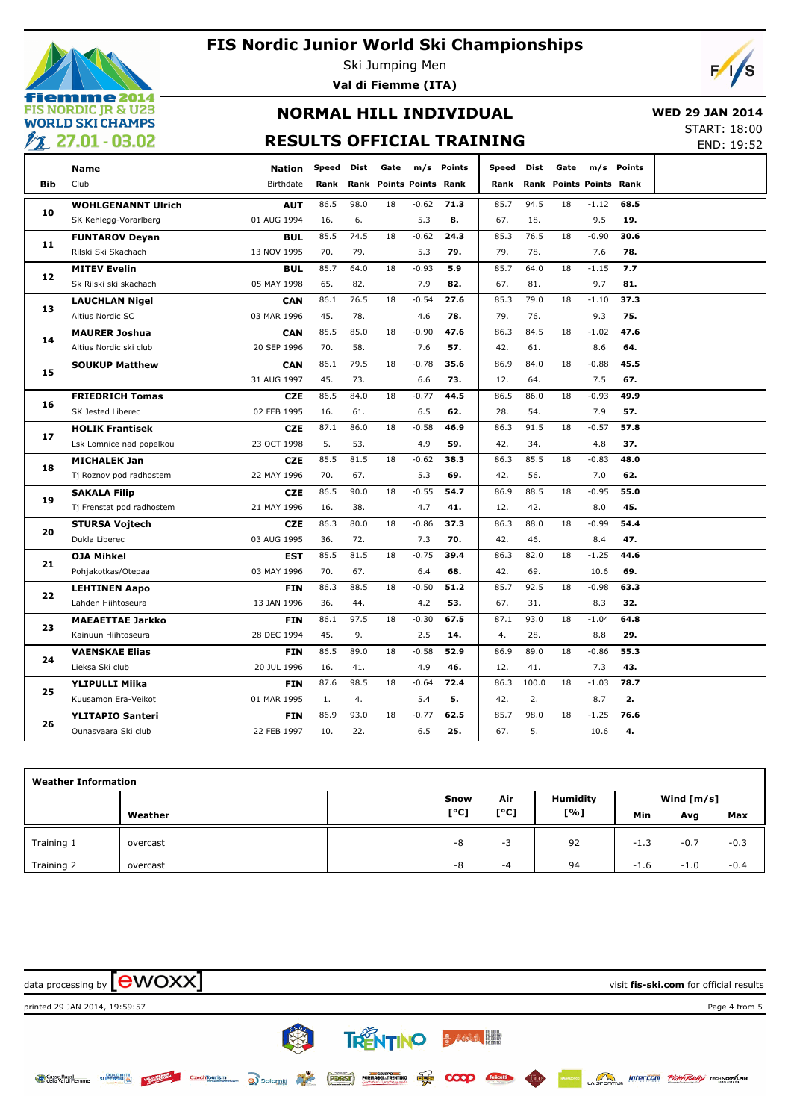

Ski Jumping Men **Val di Fiemme (ITA)**



## **NORMAL HILL INDIVIDUAL RESULTS OFFICIAL TRAINING**

 **WED 29 JAN 2014**

START: 18:00 END: 19:52

|     | Name                      | <b>Nation</b> | Speed | Dist | Gate |                         | m/s Points | Speed | Dist  | Gate |                         | m/s Points |  |
|-----|---------------------------|---------------|-------|------|------|-------------------------|------------|-------|-------|------|-------------------------|------------|--|
| Bib | Club                      | Birthdate     | Rank  |      |      | Rank Points Points Rank |            | Rank  |       |      | Rank Points Points Rank |            |  |
|     | <b>WOHLGENANNT Ulrich</b> | <b>AUT</b>    | 86.5  | 98.0 | 18   | $-0.62$                 | 71.3       | 85.7  | 94.5  | 18   | $-1.12$                 | 68.5       |  |
| 10  | SK Kehlegg-Vorarlberg     | 01 AUG 1994   | 16.   | 6.   |      | 5.3                     | 8.         | 67.   | 18.   |      | 9.5                     | 19.        |  |
|     | <b>FUNTAROV Deyan</b>     | BUL           | 85.5  | 74.5 | 18   | $-0.62$                 | 24.3       | 85.3  | 76.5  | 18   | $-0.90$                 | 30.6       |  |
| 11  | Rilski Ski Skachach       | 13 NOV 1995   | 70.   | 79.  |      | 5.3                     | 79.        | 79.   | 78.   |      | 7.6                     | 78.        |  |
|     | <b>MITEV Evelin</b>       | <b>BUL</b>    | 85.7  | 64.0 | 18   | $-0.93$                 | 5.9        | 85.7  | 64.0  | 18   | $-1.15$                 | 7.7        |  |
| 12  | Sk Rilski ski skachach    | 05 MAY 1998   | 65.   | 82.  |      | 7.9                     | 82.        | 67.   | 81.   |      | 9.7                     | 81.        |  |
|     | <b>LAUCHLAN Nigel</b>     | CAN           | 86.1  | 76.5 | 18   | $-0.54$                 | 27.6       | 85.3  | 79.0  | 18   | $-1.10$                 | 37.3       |  |
| 13  | Altius Nordic SC          | 03 MAR 1996   | 45.   | 78.  |      | 4.6                     | 78.        | 79.   | 76.   |      | 9.3                     | 75.        |  |
|     | <b>MAURER Joshua</b>      | CAN           | 85.5  | 85.0 | 18   | $-0.90$                 | 47.6       | 86.3  | 84.5  | 18   | $-1.02$                 | 47.6       |  |
| 14  | Altius Nordic ski club    | 20 SEP 1996   | 70.   | 58.  |      | 7.6                     | 57.        | 42.   | 61.   |      | 8.6                     | 64.        |  |
|     | <b>SOUKUP Matthew</b>     | <b>CAN</b>    | 86.1  | 79.5 | 18   | $-0.78$                 | 35.6       | 86.9  | 84.0  | 18   | $-0.88$                 | 45.5       |  |
| 15  |                           | 31 AUG 1997   | 45.   | 73.  |      | 6.6                     | 73.        | 12.   | 64.   |      | 7.5                     | 67.        |  |
|     | <b>FRIEDRICH Tomas</b>    | <b>CZE</b>    | 86.5  | 84.0 | 18   | $-0.77$                 | 44.5       | 86.5  | 86.0  | 18   | $-0.93$                 | 49.9       |  |
| 16  | SK Jested Liberec         | 02 FEB 1995   | 16.   | 61.  |      | 6.5                     | 62.        | 28.   | 54.   |      | 7.9                     | 57.        |  |
| 17  | <b>HOLIK Frantisek</b>    | <b>CZE</b>    | 87.1  | 86.0 | 18   | $-0.58$                 | 46.9       | 86.3  | 91.5  | 18   | $-0.57$                 | 57.8       |  |
|     | Lsk Lomnice nad popelkou  | 23 OCT 1998   | 5.    | 53.  |      | 4.9                     | 59.        | 42.   | 34.   |      | 4.8                     | 37.        |  |
| 18  | <b>MICHALEK Jan</b>       | <b>CZE</b>    | 85.5  | 81.5 | 18   | $-0.62$                 | 38.3       | 86.3  | 85.5  | 18   | $-0.83$                 | 48.0       |  |
|     | Tj Roznov pod radhostem   | 22 MAY 1996   | 70.   | 67.  |      | 5.3                     | 69.        | 42.   | 56.   |      | 7.0                     | 62.        |  |
|     | <b>SAKALA Filip</b>       | <b>CZE</b>    | 86.5  | 90.0 | 18   | $-0.55$                 | 54.7       | 86.9  | 88.5  | 18   | $-0.95$                 | 55.0       |  |
| 19  | Tj Frenstat pod radhostem | 21 MAY 1996   | 16.   | 38.  |      | 4.7                     | 41.        | 12.   | 42.   |      | 8.0                     | 45.        |  |
| 20  | <b>STURSA Vojtech</b>     | <b>CZE</b>    | 86.3  | 80.0 | 18   | $-0.86$                 | 37.3       | 86.3  | 88.0  | 18   | $-0.99$                 | 54.4       |  |
|     | Dukla Liberec             | 03 AUG 1995   | 36.   | 72.  |      | 7.3                     | 70.        | 42.   | 46.   |      | 8.4                     | 47.        |  |
| 21  | <b>OJA Mihkel</b>         | <b>EST</b>    | 85.5  | 81.5 | 18   | $-0.75$                 | 39.4       | 86.3  | 82.0  | 18   | $-1.25$                 | 44.6       |  |
|     | Pohjakotkas/Otepaa        | 03 MAY 1996   | 70.   | 67.  |      | 6.4                     | 68.        | 42.   | 69.   |      | 10.6                    | 69.        |  |
| 22  | <b>LEHTINEN Aapo</b>      | <b>FIN</b>    | 86.3  | 88.5 | 18   | $-0.50$                 | 51.2       | 85.7  | 92.5  | 18   | $-0.98$                 | 63.3       |  |
|     | Lahden Hiihtoseura        | 13 JAN 1996   | 36.   | 44.  |      | 4.2                     | 53.        | 67.   | 31.   |      | 8.3                     | 32.        |  |
| 23  | <b>MAEAETTAE Jarkko</b>   | <b>FIN</b>    | 86.1  | 97.5 | 18   | $-0.30$                 | 67.5       | 87.1  | 93.0  | 18   | $-1.04$                 | 64.8       |  |
|     | Kainuun Hiihtoseura       | 28 DEC 1994   | 45.   | 9.   |      | 2.5                     | 14.        | 4.    | 28.   |      | 8.8                     | 29.        |  |
| 24  | <b>VAENSKAE Elias</b>     | <b>FIN</b>    | 86.5  | 89.0 | 18   | $-0.58$                 | 52.9       | 86.9  | 89.0  | 18   | $-0.86$                 | 55.3       |  |
|     | Lieksa Ski club           | 20 JUL 1996   | 16.   | 41.  |      | 4.9                     | 46.        | 12.   | 41.   |      | 7.3                     | 43.        |  |
| 25  | <b>YLIPULLI Miika</b>     | <b>FIN</b>    | 87.6  | 98.5 | 18   | $-0.64$                 | 72.4       | 86.3  | 100.0 | 18   | $-1.03$                 | 78.7       |  |
|     | Kuusamon Era-Veikot       | 01 MAR 1995   | 1.    | 4.   |      | 5.4                     | 5.         | 42.   | 2.    |      | 8.7                     | 2.         |  |
| 26  | <b>YLITAPIO Santeri</b>   | <b>FIN</b>    | 86.9  | 93.0 | 18   | $-0.77$                 | 62.5       | 85.7  | 98.0  | 18   | $-1.25$                 | 76.6       |  |
|     | Ounasvaara Ski club       | 22 FEB 1997   | 10.   | 22.  |      | 6.5                     | 25.        | 67.   | 5.    |      | 10.6                    | 4.         |  |

| <b>Weather Information</b> |          |      |      |          |              |        |        |  |  |  |  |  |
|----------------------------|----------|------|------|----------|--------------|--------|--------|--|--|--|--|--|
|                            |          | Snow | Air  | Humidity | Wind $[m/s]$ |        |        |  |  |  |  |  |
|                            | Weather  | [°C] | [°C] | [%]      | Min          | Avg    | Max    |  |  |  |  |  |
| Training 1                 | overcast | -8   | - 5  | 92       | $-1.3$       | $-0.7$ | $-0.3$ |  |  |  |  |  |
| Training 2                 | overcast | -8   | -4   | 94       | $-1.6$       | $-1.0$ | $-0.4$ |  |  |  |  |  |

data processing by **CWOXX** and  $\overline{C}$  and  $\overline{C}$  and  $\overline{C}$  and  $\overline{C}$  and  $\overline{C}$  and  $\overline{C}$  and  $\overline{C}$  and  $\overline{C}$  and  $\overline{C}$  and  $\overline{C}$  and  $\overline{C}$  and  $\overline{C}$  and  $\overline{C}$  and  $\overline{C}$  and  $\overline{C}$  printed 29 JAN 2014, 19:59:57 Page 4 from 5**B** TRENTINO BARRA III **SPORTING INTEREDUIT PROPERTY TECHNOLOGY** Casse Rurali<br>Calla Val di Fiemme **DOLOMIT** CzechTourism a Dolomiti (FORST) FORMAGELITERTING ELECT  $\infty$